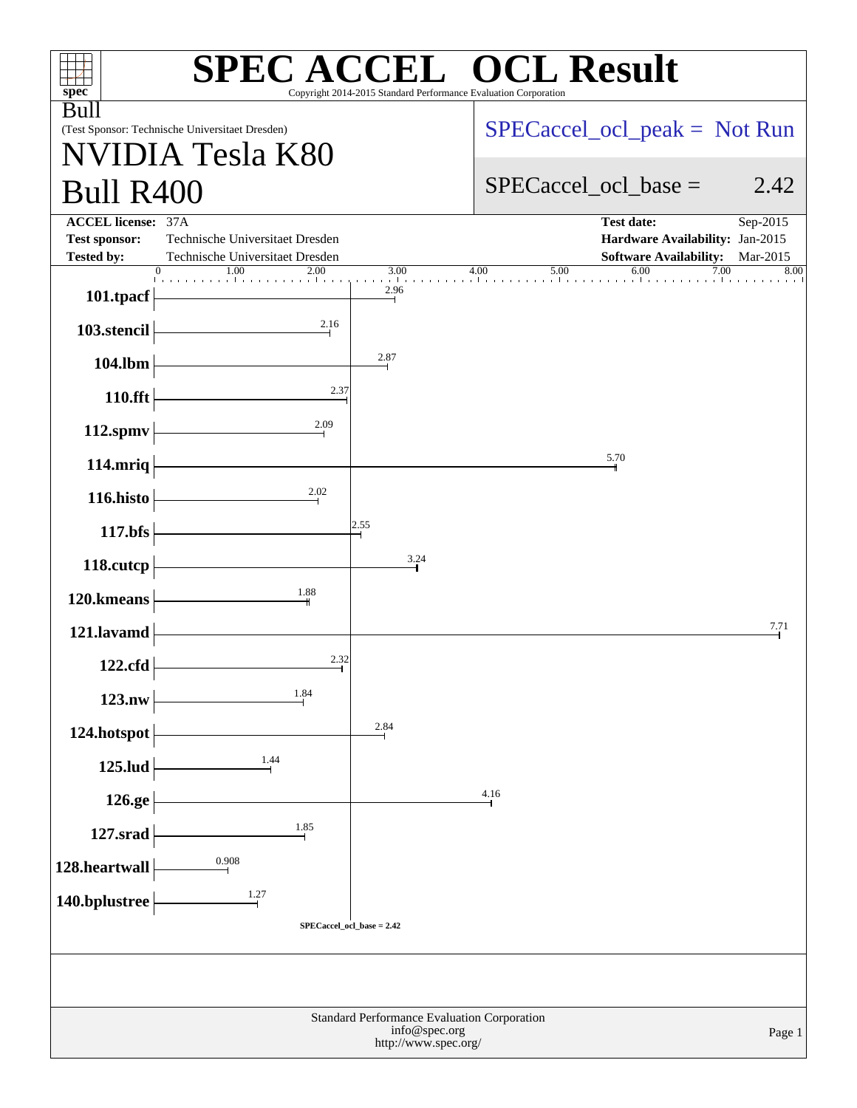| $\overline{C}^{\text{TM}}$ OCL Result<br><b>SPECACC</b><br>Copyright 2014-2015 Standard Performance Evaluation Corporation |                                                                    |                         |                          |                                                                  |              |  |
|----------------------------------------------------------------------------------------------------------------------------|--------------------------------------------------------------------|-------------------------|--------------------------|------------------------------------------------------------------|--------------|--|
| spec <sup>®</sup><br><b>Bull</b>                                                                                           | (Test Sponsor: Technische Universitaet Dresden)                    |                         |                          | $SPECaccel_{ocl\_peak} = Not Run$                                |              |  |
| <b>Bull R400</b>                                                                                                           | <b>IDIA Tesla K80</b>                                              |                         | $SPECaccel_{col}$ base = |                                                                  | 2.42         |  |
| <b>ACCEL license: 37A</b>                                                                                                  |                                                                    |                         |                          | <b>Test date:</b>                                                | Sep-2015     |  |
| <b>Test sponsor:</b><br><b>Tested by:</b>                                                                                  | Technische Universitaet Dresden<br>Technische Universitaet Dresden |                         |                          | Hardware Availability: Jan-2015<br><b>Software Availability:</b> | Mar-2015     |  |
| $\mathbf{L}$<br>101.tpacf                                                                                                  | 1.00<br>$\boldsymbol{0}$<br>2.00                                   | 3.00<br>and the<br>2.96 | 4.00<br>5.00             | 6.00                                                             | 7.00<br>8.00 |  |
| 103.stencil                                                                                                                | 2.16                                                               |                         |                          |                                                                  |              |  |
| 104.lbm                                                                                                                    |                                                                    | 2.87                    |                          |                                                                  |              |  |
| 110.fft                                                                                                                    | 2.37                                                               |                         |                          |                                                                  |              |  |
| 112.spmv                                                                                                                   | 2.09                                                               |                         |                          |                                                                  |              |  |
| 114.mriq                                                                                                                   |                                                                    |                         |                          | 5.70                                                             |              |  |
| 116.histo                                                                                                                  | $\frac{2.02}{ }$                                                   |                         |                          |                                                                  |              |  |
| 117.bfs                                                                                                                    |                                                                    | 2.55                    |                          |                                                                  |              |  |
| 118.cutcp                                                                                                                  |                                                                    | 3.24                    |                          |                                                                  |              |  |
| 120.kmeans                                                                                                                 | 1.88                                                               |                         |                          |                                                                  |              |  |
| 121.lavamd                                                                                                                 |                                                                    |                         |                          |                                                                  | 7.71         |  |
| 122.cfd                                                                                                                    | 2.32                                                               |                         |                          |                                                                  |              |  |
| 123.nw                                                                                                                     | 1.84                                                               |                         |                          |                                                                  |              |  |
| 124.hotspot                                                                                                                |                                                                    | 2.84                    |                          |                                                                  |              |  |
| 125.lud                                                                                                                    | $\frac{1.44}{1}$                                                   |                         |                          |                                                                  |              |  |
| 126.ge                                                                                                                     |                                                                    |                         | 4.16                     |                                                                  |              |  |
| $127$ .srad                                                                                                                | 1.85                                                               |                         |                          |                                                                  |              |  |
| 128.heartwall                                                                                                              | 0.908                                                              |                         |                          |                                                                  |              |  |
| 140.bplustree                                                                                                              | $\frac{1.27}{1}$                                                   |                         |                          |                                                                  |              |  |
|                                                                                                                            | SPECaccel_ocl_base = 2.42                                          |                         |                          |                                                                  |              |  |
|                                                                                                                            |                                                                    |                         |                          |                                                                  |              |  |
| Standard Performance Evaluation Corporation<br>info@spec.org<br>Page 1<br>http://www.spec.org/                             |                                                                    |                         |                          |                                                                  |              |  |
|                                                                                                                            |                                                                    |                         |                          |                                                                  |              |  |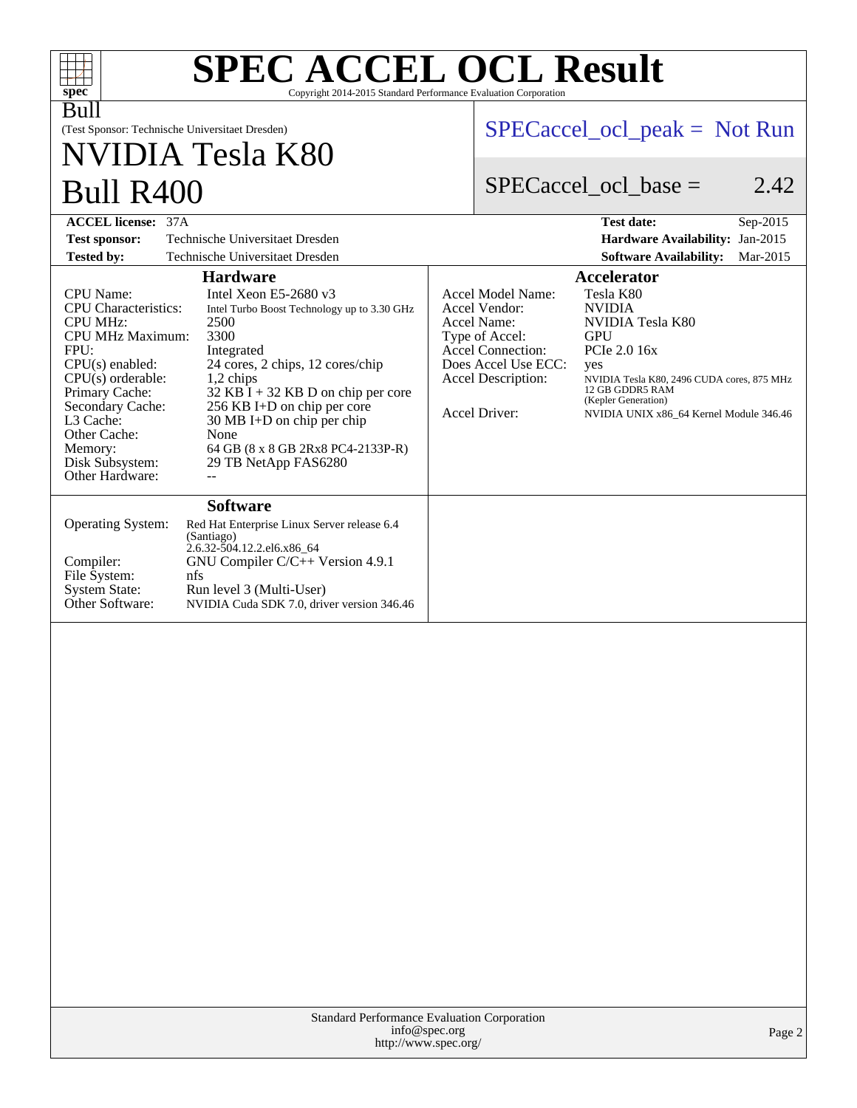| <b>SPEC ACCEL OCL Result</b><br>$spec^*$<br>Copyright 2014-2015 Standard Performance Evaluation Corporation                                                                                                                                                                                                                                                                                                                                                                                                                                                                                                                |                                                                                                                                                                                                                                                                                                                                                                                         |
|----------------------------------------------------------------------------------------------------------------------------------------------------------------------------------------------------------------------------------------------------------------------------------------------------------------------------------------------------------------------------------------------------------------------------------------------------------------------------------------------------------------------------------------------------------------------------------------------------------------------------|-----------------------------------------------------------------------------------------------------------------------------------------------------------------------------------------------------------------------------------------------------------------------------------------------------------------------------------------------------------------------------------------|
| Bull<br>(Test Sponsor: Technische Universitaet Dresden)<br>NVIDIA Tesla K80                                                                                                                                                                                                                                                                                                                                                                                                                                                                                                                                                | $SPECaccel_{ocl\_peak} = Not Run$                                                                                                                                                                                                                                                                                                                                                       |
| <b>Bull R400</b>                                                                                                                                                                                                                                                                                                                                                                                                                                                                                                                                                                                                           | $SPECaccel$ ocl base =<br>2.42                                                                                                                                                                                                                                                                                                                                                          |
| <b>ACCEL license: 37A</b>                                                                                                                                                                                                                                                                                                                                                                                                                                                                                                                                                                                                  | <b>Test date:</b><br>Sep-2015                                                                                                                                                                                                                                                                                                                                                           |
| Technische Universitaet Dresden<br><b>Test sponsor:</b>                                                                                                                                                                                                                                                                                                                                                                                                                                                                                                                                                                    | Hardware Availability: Jan-2015                                                                                                                                                                                                                                                                                                                                                         |
| <b>Tested by:</b><br>Technische Universitaet Dresden                                                                                                                                                                                                                                                                                                                                                                                                                                                                                                                                                                       | <b>Software Availability:</b><br>Mar-2015                                                                                                                                                                                                                                                                                                                                               |
| <b>Hardware</b>                                                                                                                                                                                                                                                                                                                                                                                                                                                                                                                                                                                                            | <b>Accelerator</b>                                                                                                                                                                                                                                                                                                                                                                      |
| Intel Xeon E5-2680 v3<br><b>CPU</b> Name:<br><b>CPU</b> Characteristics:<br>Intel Turbo Boost Technology up to 3.30 GHz<br><b>CPU MHz:</b><br>2500<br><b>CPU MHz Maximum:</b><br>3300<br>FPU:<br>Integrated<br>24 cores, 2 chips, 12 cores/chip<br>$CPU(s)$ enabled:<br>CPU(s) orderable:<br>1,2 chips<br>Primary Cache:<br>$32$ KB I + 32 KB D on chip per core<br>256 KB I+D on chip per core<br>Secondary Cache:<br>L <sub>3</sub> Cache:<br>$30 \text{ MB I+D}$ on chip per chip<br>Other Cache:<br>None<br>Memory:<br>64 GB (8 x 8 GB 2Rx8 PC4-2133P-R)<br>Disk Subsystem:<br>29 TB NetApp FAS6280<br>Other Hardware: | Tesla K80<br>Accel Model Name:<br><b>NVIDIA</b><br>Accel Vendor:<br>Accel Name:<br>NVIDIA Tesla K80<br><b>GPU</b><br>Type of Accel:<br><b>Accel Connection:</b><br>PCIe 2.0 16x<br>Does Accel Use ECC:<br>yes<br>Accel Description:<br>NVIDIA Tesla K80, 2496 CUDA cores, 875 MHz<br>12 GB GDDR5 RAM<br>(Kepler Generation)<br>Accel Driver:<br>NVIDIA UNIX x86 64 Kernel Module 346.46 |
| <b>Software</b><br>Operating System:<br>Red Hat Enterprise Linux Server release 6.4<br>(Santiago)<br>$2.6.32 - 504.12.2$ .el6.x86_64<br>Compiler:<br>GNU Compiler C/C++ Version 4.9.1<br>File System:<br>nfs<br><b>System State:</b><br>Run level 3 (Multi-User)<br>Other Software:<br>NVIDIA Cuda SDK 7.0, driver version 346.46                                                                                                                                                                                                                                                                                          |                                                                                                                                                                                                                                                                                                                                                                                         |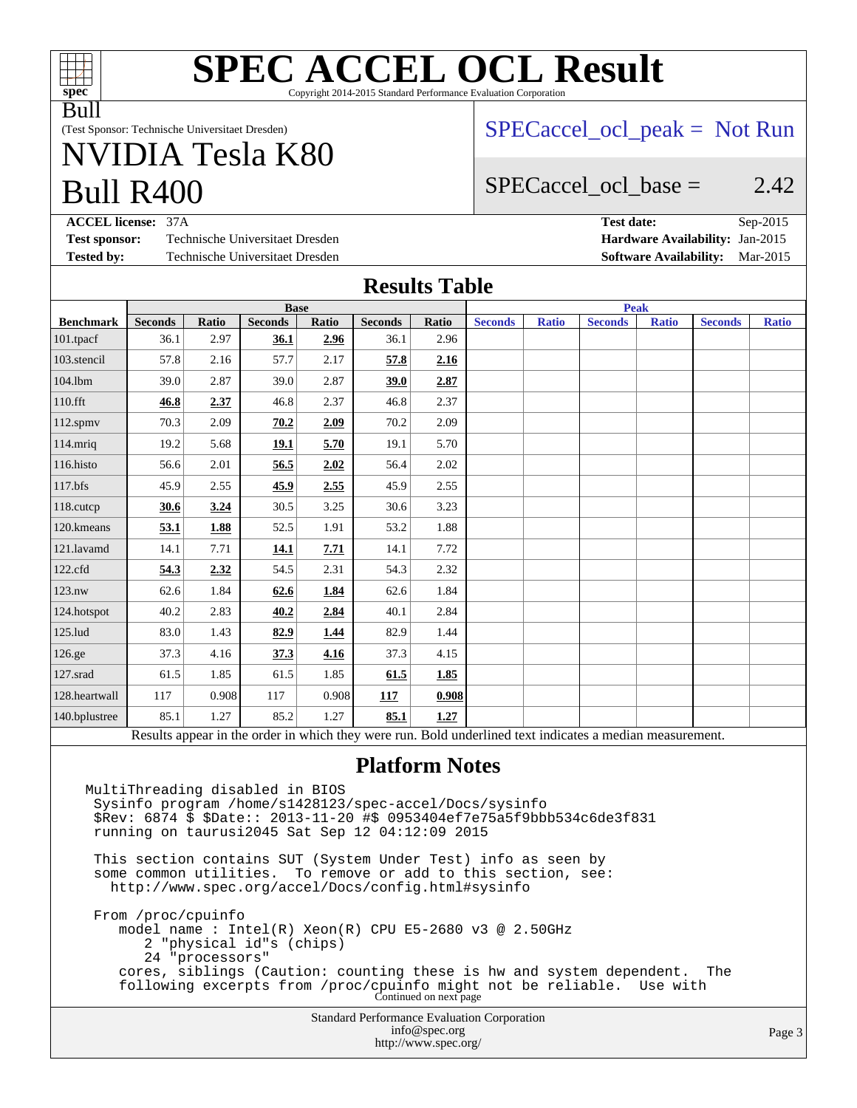

#### **[SPEC ACCEL OCL Result](http://www.spec.org/auto/accel/Docs/result-fields.html#SPECACCELOCLResult)** Copyright 2014-2015 Standard Performance Evaluation Corporation

Bull

(Test Sponsor: Technische Universitaet Dresden)

# Bull R400 NVIDIA Tesla K80

### $SPECaccel$  ocl peak = Not Run

### SPECaccel ocl base  $=$  2.42

**[ACCEL license:](http://www.spec.org/auto/accel/Docs/result-fields.html#ACCELlicense)** 37A **[Test date:](http://www.spec.org/auto/accel/Docs/result-fields.html#Testdate)** Sep-2015 **[Test sponsor:](http://www.spec.org/auto/accel/Docs/result-fields.html#Testsponsor)** Technische Universitaet Dresden **[Hardware Availability:](http://www.spec.org/auto/accel/Docs/result-fields.html#HardwareAvailability)** Jan-2015 **[Tested by:](http://www.spec.org/auto/accel/Docs/result-fields.html#Testedby)** Technische Universitaet Dresden **[Software Availability:](http://www.spec.org/auto/accel/Docs/result-fields.html#SoftwareAvailability)** Mar-2015

#### **[Results Table](http://www.spec.org/auto/accel/Docs/result-fields.html#ResultsTable)**

|                                                                                                          | <b>Base</b>    |       |                |       | <b>Peak</b>    |       |                |              |                |              |                |              |
|----------------------------------------------------------------------------------------------------------|----------------|-------|----------------|-------|----------------|-------|----------------|--------------|----------------|--------------|----------------|--------------|
| <b>Benchmark</b>                                                                                         | <b>Seconds</b> | Ratio | <b>Seconds</b> | Ratio | <b>Seconds</b> | Ratio | <b>Seconds</b> | <b>Ratio</b> | <b>Seconds</b> | <b>Ratio</b> | <b>Seconds</b> | <b>Ratio</b> |
| 101.tpacf                                                                                                | 36.1           | 2.97  | 36.1           | 2.96  | 36.1           | 2.96  |                |              |                |              |                |              |
| 103.stencil                                                                                              | 57.8           | 2.16  | 57.7           | 2.17  | 57.8           | 2.16  |                |              |                |              |                |              |
| 104.1bm                                                                                                  | 39.0           | 2.87  | 39.0           | 2.87  | 39.0           | 2.87  |                |              |                |              |                |              |
| 110.fft                                                                                                  | 46.8           | 2.37  | 46.8           | 2.37  | 46.8           | 2.37  |                |              |                |              |                |              |
| $112$ .spm $v$                                                                                           | 70.3           | 2.09  | 70.2           | 2.09  | 70.2           | 2.09  |                |              |                |              |                |              |
| 114.mriq                                                                                                 | 19.2           | 5.68  | 19.1           | 5.70  | 19.1           | 5.70  |                |              |                |              |                |              |
| 116.histo                                                                                                | 56.6           | 2.01  | 56.5           | 2.02  | 56.4           | 2.02  |                |              |                |              |                |              |
| 117.bfs                                                                                                  | 45.9           | 2.55  | 45.9           | 2.55  | 45.9           | 2.55  |                |              |                |              |                |              |
| 118.cutcp                                                                                                | 30.6           | 3.24  | 30.5           | 3.25  | 30.6           | 3.23  |                |              |                |              |                |              |
| 120.kmeans                                                                                               | 53.1           | 1.88  | 52.5           | 1.91  | 53.2           | 1.88  |                |              |                |              |                |              |
| 121.lavamd                                                                                               | 14.1           | 7.71  | 14.1           | 7.71  | 14.1           | 7.72  |                |              |                |              |                |              |
| 122.cfd                                                                                                  | 54.3           | 2.32  | 54.5           | 2.31  | 54.3           | 2.32  |                |              |                |              |                |              |
| 123.nw                                                                                                   | 62.6           | 1.84  | 62.6           | 1.84  | 62.6           | 1.84  |                |              |                |              |                |              |
| 124.hotspot                                                                                              | 40.2           | 2.83  | 40.2           | 2.84  | 40.1           | 2.84  |                |              |                |              |                |              |
| 125.lud                                                                                                  | 83.0           | 1.43  | 82.9           | 1.44  | 82.9           | 1.44  |                |              |                |              |                |              |
| 126.ge                                                                                                   | 37.3           | 4.16  | 37.3           | 4.16  | 37.3           | 4.15  |                |              |                |              |                |              |
| 127.srad                                                                                                 | 61.5           | 1.85  | 61.5           | 1.85  | 61.5           | 1.85  |                |              |                |              |                |              |
| 128.heartwall                                                                                            | 117            | 0.908 | 117            | 0.908 | 117            | 0.908 |                |              |                |              |                |              |
| 140.bplustree                                                                                            | 85.1           | 1.27  | 85.2           | 1.27  | 85.1           | 1.27  |                |              |                |              |                |              |
| Results appear in the order in which they were run. Bold underlined text indicates a median measurement. |                |       |                |       |                |       |                |              |                |              |                |              |
|                                                                                                          |                |       |                |       |                |       |                |              |                |              |                |              |

#### **[Platform Notes](http://www.spec.org/auto/accel/Docs/result-fields.html#PlatformNotes)**

Standard Performance Evaluation Corporation [info@spec.org](mailto:info@spec.org) <http://www.spec.org/> Page 3 MultiThreading disabled in BIOS Sysinfo program /home/s1428123/spec-accel/Docs/sysinfo \$Rev: 6874 \$ \$Date:: 2013-11-20 #\$ 0953404ef7e75a5f9bbb534c6de3f831 running on taurusi2045 Sat Sep 12 04:12:09 2015 This section contains SUT (System Under Test) info as seen by some common utilities. To remove or add to this section, see: <http://www.spec.org/accel/Docs/config.html#sysinfo> From /proc/cpuinfo model name : Intel(R) Xeon(R) CPU E5-2680 v3 @ 2.50GHz 2 "physical id"s (chips) 24 "processors" cores, siblings (Caution: counting these is hw and system dependent. The following excerpts from /proc/cpuinfo might not be reliable. Use with Continued on next page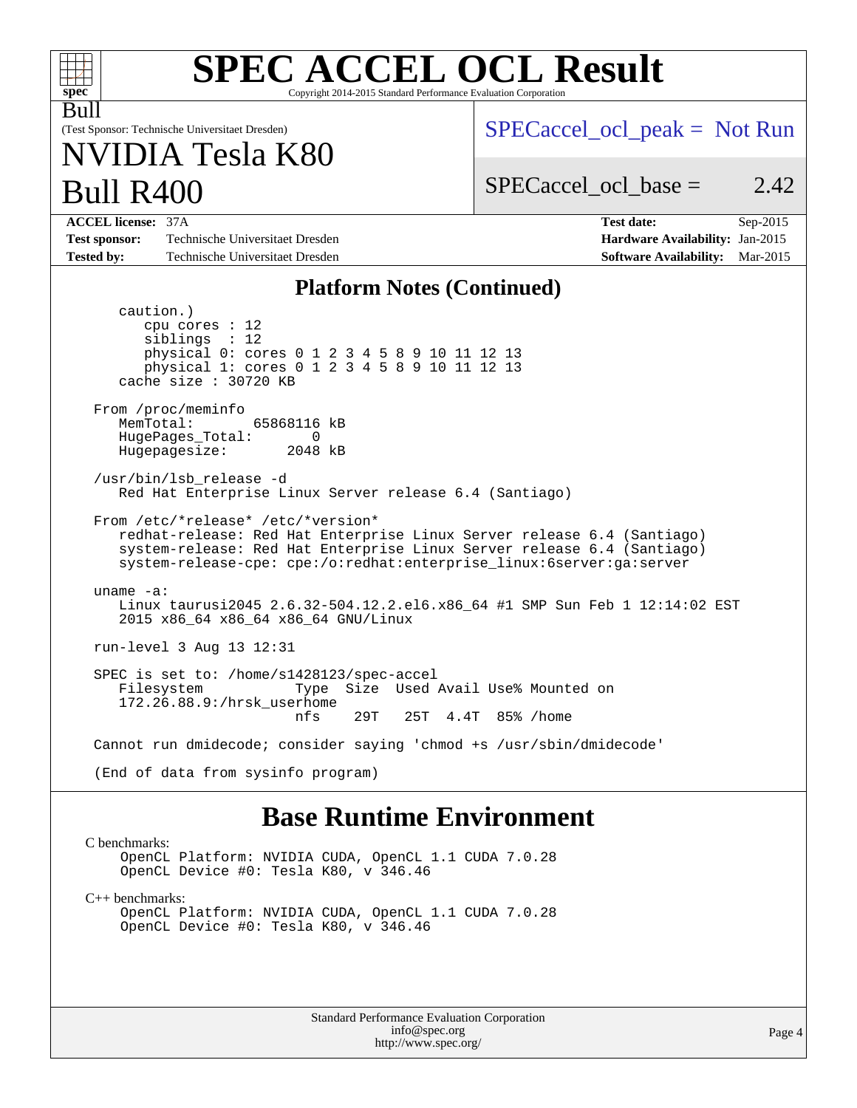| <b>SPEC ACCEL OCL Result</b><br>$spec^*$<br>Copyright 2014-2015 Standard Performance Evaluation Corporation                                                                                                                                                    |                                                                                                               |  |  |  |  |  |
|----------------------------------------------------------------------------------------------------------------------------------------------------------------------------------------------------------------------------------------------------------------|---------------------------------------------------------------------------------------------------------------|--|--|--|--|--|
| Bull<br>(Test Sponsor: Technische Universitaet Dresden)<br>NVIDIA Tesla K80                                                                                                                                                                                    | $SPECaccel_{ocl\_peak} = Not Run$                                                                             |  |  |  |  |  |
| <b>Bull R400</b>                                                                                                                                                                                                                                               | $SPECaccel_{\text{ocl}}$ base =<br>2.42                                                                       |  |  |  |  |  |
| <b>ACCEL license: 37A</b><br>Technische Universitaet Dresden<br><b>Test sponsor:</b><br><b>Tested by:</b><br>Technische Universitaet Dresden                                                                                                                   | <b>Test date:</b><br>Sep-2015<br>Hardware Availability: Jan-2015<br><b>Software Availability:</b><br>Mar-2015 |  |  |  |  |  |
| <b>Platform Notes (Continued)</b>                                                                                                                                                                                                                              |                                                                                                               |  |  |  |  |  |
| caution.)<br>$cpu$ cores : 12<br>sibling: 12<br>physical 0: cores 0 1 2 3 4 5 8 9 10 11 12 13<br>physical 1: cores 0 1 2 3 4 5 8 9 10 11 12 13<br>cache size $: 30720$ KB<br>From /proc/meminfo<br>MemTotal:<br>65868116 kB<br>HugePages_Total:<br>0           |                                                                                                               |  |  |  |  |  |
| Hugepagesize:<br>2048 kB<br>/usr/bin/lsb release -d<br>Red Hat Enterprise Linux Server release 6.4 (Santiago)                                                                                                                                                  |                                                                                                               |  |  |  |  |  |
| From /etc/*release* /etc/*version*<br>redhat-release: Red Hat Enterprise Linux Server release 6.4 (Santiago)<br>system-release: Red Hat Enterprise Linux Server release 6.4 (Santiago)<br>system-release-cpe: cpe:/o:redhat:enterprise_linux:6server:ga:server |                                                                                                               |  |  |  |  |  |
| uname $-a$ :<br>Linux taurusi2045 2.6.32-504.12.2.el6.x86_64 #1 SMP Sun Feb 1 12:14:02 EST<br>2015 x86_64 x86_64 x86_64 GNU/Linux                                                                                                                              |                                                                                                               |  |  |  |  |  |
| run-level 3 Aug 13 12:31                                                                                                                                                                                                                                       |                                                                                                               |  |  |  |  |  |
| SPEC is set to: /home/s1428123/spec-accel<br>Size Used Avail Use% Mounted on<br>Filesystem<br>Type<br>172.26.88.9:/hrsk_userhome<br>29T<br>nfs<br>25T 4.4T<br>85% /home                                                                                        |                                                                                                               |  |  |  |  |  |
| Cannot run dmidecode; consider saying 'chmod +s /usr/sbin/dmidecode'                                                                                                                                                                                           |                                                                                                               |  |  |  |  |  |
| (End of data from sysinfo program)                                                                                                                                                                                                                             |                                                                                                               |  |  |  |  |  |
| <b>Base Runtime Environment</b>                                                                                                                                                                                                                                |                                                                                                               |  |  |  |  |  |

#### [C benchmarks](http://www.spec.org/auto/accel/Docs/result-fields.html#Cbenchmarks):

OpenCL Platform: NVIDIA CUDA, OpenCL 1.1 CUDA 7.0.28 OpenCL Device #0: Tesla K80, v 346.46

[C++ benchmarks:](http://www.spec.org/auto/accel/Docs/result-fields.html#CXXbenchmarks)

OpenCL Platform: NVIDIA CUDA, OpenCL 1.1 CUDA 7.0.28 OpenCL Device #0: Tesla K80, v 346.46

> Standard Performance Evaluation Corporation [info@spec.org](mailto:info@spec.org) <http://www.spec.org/>